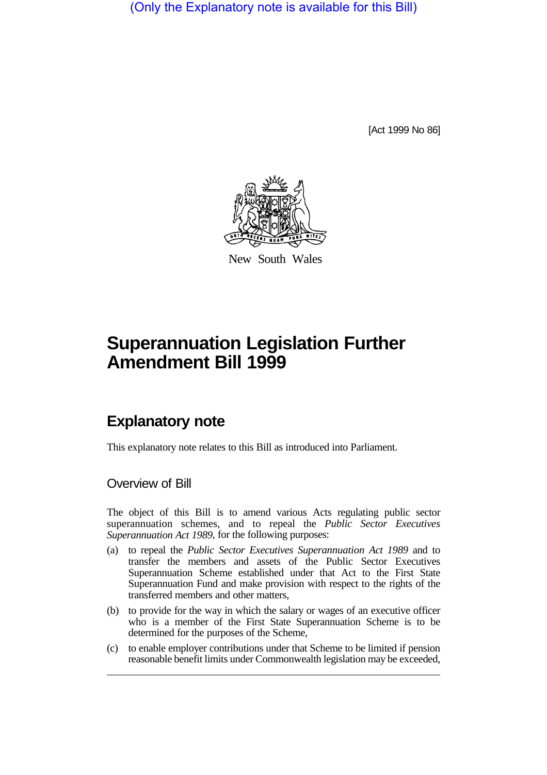(Only the Explanatory note is available for this Bill)

[Act 1999 No 86]



New South Wales

# **Superannuation Legislation Further Amendment Bill 1999**

## **Explanatory note**

This explanatory note relates to this Bill as introduced into Parliament.

#### Overview of Bill

The object of this Bill is to amend various Acts regulating public sector superannuation schemes, and to repeal the *Public Sector Executives Superannuation Act 1989*, for the following purposes:

- (a) to repeal the *Public Sector Executives Superannuation Act 1989* and to transfer the members and assets of the Public Sector Executives Superannuation Scheme established under that Act to the First State Superannuation Fund and make provision with respect to the rights of the transferred members and other matters,
- (b) to provide for the way in which the salary or wages of an executive officer who is a member of the First State Superannuation Scheme is to be determined for the purposes of the Scheme,
- (c) to enable employer contributions under that Scheme to be limited if pension reasonable benefit limits under Commonwealth legislation may be exceeded,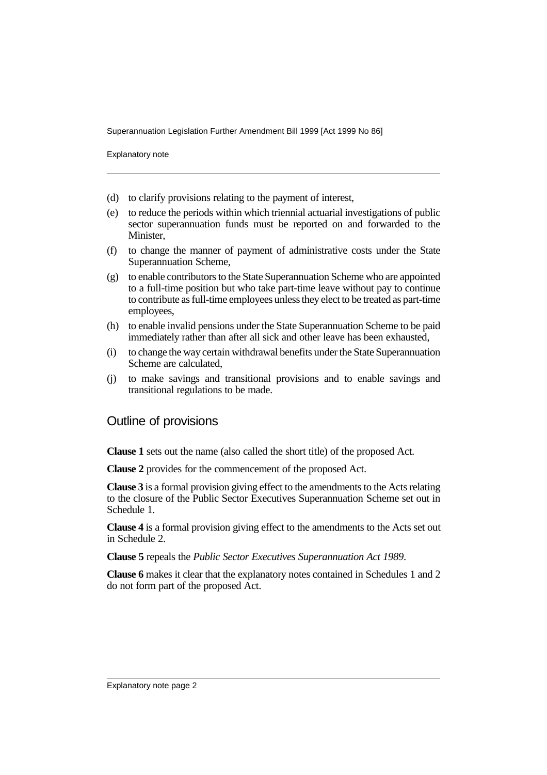Superannuation Legislation Further Amendment Bill 1999 [Act 1999 No 86]

Explanatory note

- (d) to clarify provisions relating to the payment of interest,
- (e) to reduce the periods within which triennial actuarial investigations of public sector superannuation funds must be reported on and forwarded to the Minister,
- (f) to change the manner of payment of administrative costs under the State Superannuation Scheme,
- (g) to enable contributors to the State Superannuation Scheme who are appointed to a full-time position but who take part-time leave without pay to continue to contribute as full-time employees unless they elect to be treated as part-time employees,
- (h) to enable invalid pensions under the State Superannuation Scheme to be paid immediately rather than after all sick and other leave has been exhausted,
- (i) to change the way certain withdrawal benefits under the State Superannuation Scheme are calculated,
- (j) to make savings and transitional provisions and to enable savings and transitional regulations to be made.

#### Outline of provisions

**Clause 1** sets out the name (also called the short title) of the proposed Act.

**Clause 2** provides for the commencement of the proposed Act.

**Clause 3** is a formal provision giving effect to the amendments to the Acts relating to the closure of the Public Sector Executives Superannuation Scheme set out in Schedule 1.

**Clause 4** is a formal provision giving effect to the amendments to the Acts set out in Schedule 2.

**Clause 5** repeals the *Public Sector Executives Superannuation Act 1989*.

**Clause 6** makes it clear that the explanatory notes contained in Schedules 1 and 2 do not form part of the proposed Act.